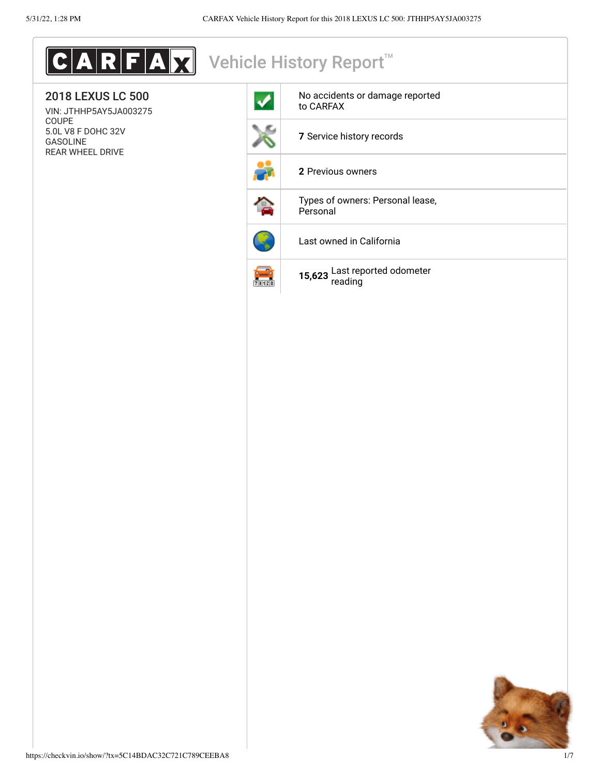| $\textbf{C}$ A R F A $\textbf{X}$ Vehicle History Report    |                     |                                              |  |
|-------------------------------------------------------------|---------------------|----------------------------------------------|--|
| <b>2018 LEXUS LC 500</b><br>VIN: JTHHP5AY5JA003275          | ✔                   | No accidents or damage reported<br>to CARFAX |  |
| COUPE<br>5.0L V8 F DOHC 32V<br>GASOLINE<br>REAR WHEEL DRIVE |                     | 7 Service history records                    |  |
|                                                             |                     | 2 Previous owners                            |  |
|                                                             |                     | Types of owners: Personal lease,<br>Personal |  |
|                                                             |                     | Last owned in California                     |  |
|                                                             | $\frac{1}{2}$ 31128 | 15,623 Last reported odometer<br>reading     |  |
|                                                             |                     |                                              |  |
|                                                             |                     |                                              |  |
|                                                             |                     |                                              |  |
|                                                             |                     |                                              |  |
|                                                             |                     |                                              |  |
|                                                             |                     |                                              |  |
|                                                             |                     |                                              |  |
|                                                             |                     |                                              |  |
|                                                             |                     |                                              |  |
|                                                             |                     |                                              |  |
|                                                             |                     |                                              |  |
|                                                             |                     |                                              |  |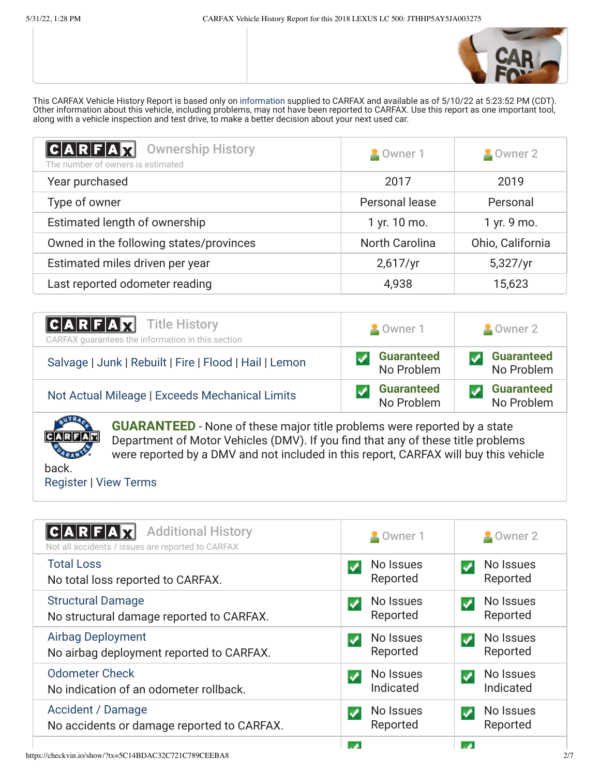

This CARFAX Vehicle History Report is based only on [information](http://www.carfax.com/company/vhr-data-sources) supplied to CARFAX and available as of 5/10/22 at 5:23:52 PM (CDT). Other information about this vehicle, including problems, may not have been reported to CARFAX. Use this report as one important tool, along with a vehicle inspection and test drive, to make a better decision about your next used car.

<span id="page-1-1"></span>

| $ C A R F A \overline{X}$<br><b>Ownership History</b><br>The number of owners is estimated | Owner 1               | Owner 2          |
|--------------------------------------------------------------------------------------------|-----------------------|------------------|
| Year purchased                                                                             | 2017                  | 2019             |
| Type of owner                                                                              | Personal lease        | Personal         |
| Estimated length of ownership                                                              | 1 yr. 10 mo.          | 1 yr. 9 mo.      |
| Owned in the following states/provinces                                                    | <b>North Carolina</b> | Ohio, California |
| Estimated miles driven per year                                                            | 2,617/yr              | 5,327/yr         |
| Last reported odometer reading                                                             | 4,938                 | 15,623           |

| <b>CARFAX</b> Title History<br>CARFAX quarantees the information in this section | Owner 1                         | Owner 2                         |
|----------------------------------------------------------------------------------|---------------------------------|---------------------------------|
| Salvage   Junk   Rebuilt   Fire   Flood   Hail   Lemon                           | <b>Guaranteed</b><br>No Problem | <b>Guaranteed</b><br>No Problem |
| Not Actual Mileage   Exceeds Mechanical Limits                                   | <b>Guaranteed</b><br>No Problem | <b>Guaranteed</b><br>No Problem |



**GUARANTEED** - None of these major title problems were reported by a state Department of Motor Vehicles (DMV). If you find that any of these title problems were reported by a DMV and not included in this report, CARFAX will buy this vehicle

back. [Register](https://www.carfax.com/Service/bbg) | [View Terms](https://www.carfax.com/company/carfax-buyback-guarantee-terms-and-conditions)

<span id="page-1-0"></span>

| <b>Additional History</b><br>C A R F A<br>Not all accidents / issues are reported to CARFAX | Owner 1                                    | Owner 2                     |
|---------------------------------------------------------------------------------------------|--------------------------------------------|-----------------------------|
| <b>Total Loss</b><br>No total loss reported to CARFAX.                                      | No Issues<br>Reported                      | No Issues<br>✔<br>Reported  |
| <b>Structural Damage</b><br>No structural damage reported to CARFAX.                        | No Issues<br>✔<br>Reported                 | No Issues<br>✔<br>Reported  |
| <b>Airbag Deployment</b><br>No airbag deployment reported to CARFAX.                        | No Issues<br>✔<br>Reported                 | No Issues<br>✔<br>Reported  |
| <b>Odometer Check</b><br>No indication of an odometer rollback.                             | No Issues<br>$\boldsymbol{V}$<br>Indicated | No Issues<br>✔<br>Indicated |
| <b>Accident / Damage</b><br>No accidents or damage reported to CARFAX.                      | No Issues<br>✔<br>Reported                 | No Issues<br>✔<br>Reported  |
|                                                                                             |                                            |                             |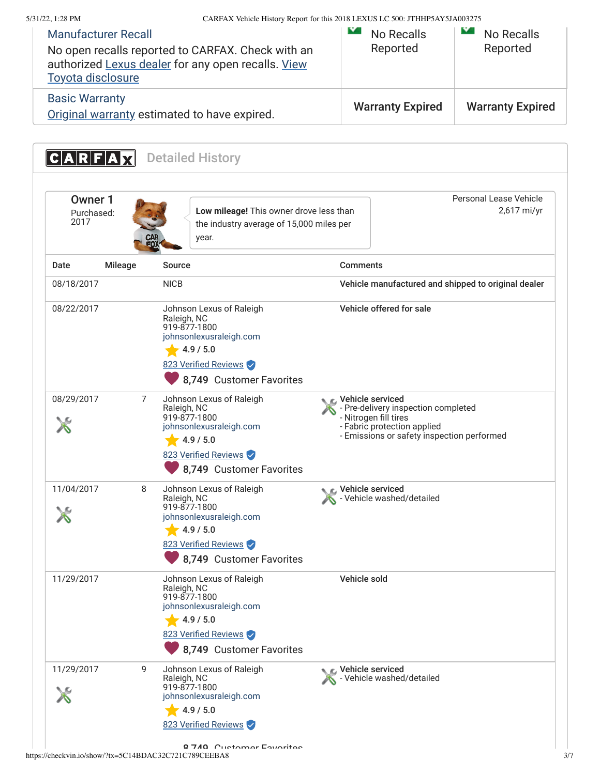<span id="page-2-0"></span>

| 5/31/22, 1:28 PM              |                                                 |                                                                                                                                                     | CARFAX Vehicle History Report for this 2018 LEXUS LC 500: JTHHP5AY5JA003275                                       |                                                     |
|-------------------------------|-------------------------------------------------|-----------------------------------------------------------------------------------------------------------------------------------------------------|-------------------------------------------------------------------------------------------------------------------|-----------------------------------------------------|
|                               | <b>Manufacturer Recall</b><br>Toyota disclosure | No open recalls reported to CARFAX. Check with an<br>authorized Lexus dealer for any open recalls. View                                             | IY.<br><b>No Recalls</b><br>Reported                                                                              | $\mathbf{v}$<br>No Recalls<br>Reported              |
| <b>Basic Warranty</b>         |                                                 | Original warranty estimated to have expired.                                                                                                        | <b>Warranty Expired</b>                                                                                           | <b>Warranty Expired</b>                             |
|                               | $ C A R F A \overline{X}$                       | <b>Detailed History</b>                                                                                                                             |                                                                                                                   |                                                     |
|                               |                                                 |                                                                                                                                                     |                                                                                                                   |                                                     |
| Owner 1<br>Purchased:<br>2017 |                                                 | Low mileage! This owner drove less than<br>the industry average of 15,000 miles per<br>year.                                                        |                                                                                                                   | Personal Lease Vehicle<br>2,617 mi/yr               |
| Date                          | Mileage                                         | <b>Source</b>                                                                                                                                       | <b>Comments</b>                                                                                                   |                                                     |
| 08/18/2017                    |                                                 | <b>NICB</b>                                                                                                                                         |                                                                                                                   | Vehicle manufactured and shipped to original dealer |
| 08/22/2017                    |                                                 | Johnson Lexus of Raleigh<br>Raleigh, NC<br>919-877-1800<br>johnsonlexusraleigh.com<br>4.9 / 5.0<br>823 Verified Reviews<br>8,749 Customer Favorites | Vehicle offered for sale                                                                                          |                                                     |
| 08/29/2017                    | 7                                               | Johnson Lexus of Raleigh<br>Raleigh, NC<br>919-877-1800<br>johnsonlexusraleigh.com<br>4.9 / 5.0<br>823 Verified Reviews<br>8,749 Customer Favorites | L Vehicle serviced<br>- Pre-delivery inspection completed<br>- Nitrogen fill tires<br>- Fabric protection applied | - Emissions or safety inspection performed          |
| 11/04/2017                    | 8                                               | Johnson Lexus of Raleigh<br>Raleigh, NC<br>919-877-1800<br>johnsonlexusraleigh.com<br>4.9 / 5.0<br>823 Verified Reviews<br>8,749 Customer Favorites | Vehicle serviced<br>Vehicle washed/detailed                                                                       |                                                     |
| 11/29/2017                    |                                                 | Johnson Lexus of Raleigh<br>Raleigh, NC<br>919-877-1800<br>johnsonlexusraleigh.com<br>4.9 / 5.0<br>823 Verified Reviews<br>8,749 Customer Favorites | Vehicle sold                                                                                                      |                                                     |
| 11/29/2017                    | 9                                               | Johnson Lexus of Raleigh<br>Raleigh, NC<br>919-877-1800<br>johnsonlexusraleigh.com<br>4.9 / 5.0                                                     | Vehicle serviced<br>Vehicle washed/detailed                                                                       |                                                     |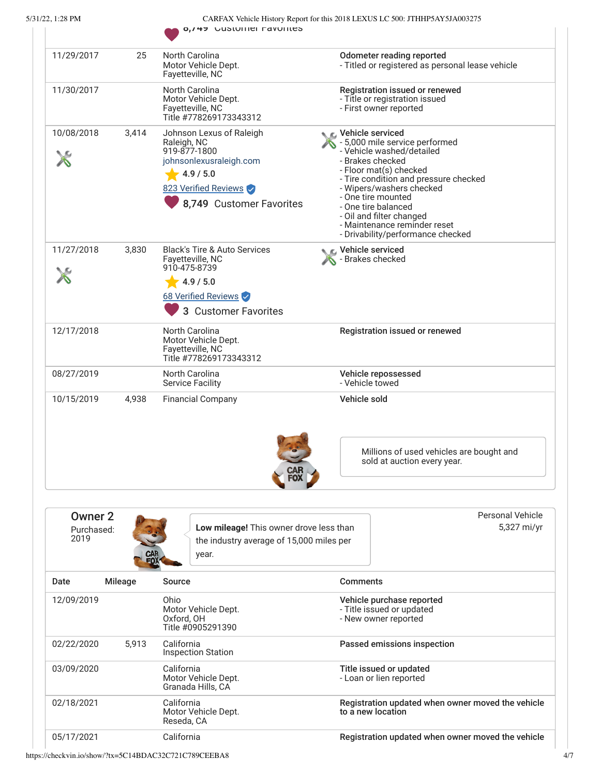| CARFAX Vehicle History Report for this 2018 LEXUS LC 500: JTHHP5AY5JA003275 |
|-----------------------------------------------------------------------------|
| . 6.749. GUSTOLIJEL FAVOLIJES.                                              |

|                                          |                | 0, 149 UUSLUITIEI FAVUITLES                                                                                                                         |                                                                                                                                                                                                                                                                                                                                                    |                                                   |
|------------------------------------------|----------------|-----------------------------------------------------------------------------------------------------------------------------------------------------|----------------------------------------------------------------------------------------------------------------------------------------------------------------------------------------------------------------------------------------------------------------------------------------------------------------------------------------------------|---------------------------------------------------|
| 11/29/2017                               | 25             | North Carolina<br>Motor Vehicle Dept.<br>Fayetteville, NC                                                                                           | <b>Odometer reading reported</b>                                                                                                                                                                                                                                                                                                                   | - Titled or registered as personal lease vehicle  |
| 11/30/2017                               |                | North Carolina<br>Motor Vehicle Dept.<br>Fayetteville, NC<br>Title #778269173343312                                                                 | Registration issued or renewed<br>- Title or registration issued<br>- First owner reported                                                                                                                                                                                                                                                         |                                                   |
| 10/08/2018                               | 3,414          | Johnson Lexus of Raleigh<br>Raleigh, NC<br>919-877-1800<br>johnsonlexusraleigh.com<br>4.9 / 5.0<br>823 Verified Reviews<br>8,749 Customer Favorites | C Vehicle serviced<br>- 5,000 mile service performed<br>- Vehicle washed/detailed<br>- Brakes checked<br>- Floor mat(s) checked<br>- Tire condition and pressure checked<br>- Wipers/washers checked<br>- One tire mounted<br>- One tire balanced<br>- Oil and filter changed<br>- Maintenance reminder reset<br>- Drivability/performance checked |                                                   |
| 11/27/2018                               | 3,830          | <b>Black's Tire &amp; Auto Services</b><br>Fayetteville, NC<br>910-475-8739<br>4.9 / 5.0<br>68 Verified Reviews                                     | Lehicle serviced<br>- Brakes checked                                                                                                                                                                                                                                                                                                               |                                                   |
| 12/17/2018                               |                | 3 Customer Favorites<br><b>North Carolina</b><br>Motor Vehicle Dept.                                                                                | Registration issued or renewed                                                                                                                                                                                                                                                                                                                     |                                                   |
|                                          |                | Fayetteville, NC<br>Title #778269173343312                                                                                                          |                                                                                                                                                                                                                                                                                                                                                    |                                                   |
| 08/27/2019                               |                | North Carolina<br><b>Service Facility</b>                                                                                                           | Vehicle repossessed<br>- Vehicle towed                                                                                                                                                                                                                                                                                                             |                                                   |
| 10/15/2019                               | 4,938          | <b>Financial Company</b>                                                                                                                            | Vehicle sold                                                                                                                                                                                                                                                                                                                                       |                                                   |
|                                          |                |                                                                                                                                                     | sold at auction every year.                                                                                                                                                                                                                                                                                                                        | Millions of used vehicles are bought and          |
|                                          |                |                                                                                                                                                     |                                                                                                                                                                                                                                                                                                                                                    |                                                   |
| Owner <sub>2</sub><br>Purchased:<br>2019 |                | Low mileage! This owner drove less than<br>the industry average of 15,000 miles per<br>year.                                                        |                                                                                                                                                                                                                                                                                                                                                    | <b>Personal Vehicle</b><br>5,327 mi/yr            |
| Date                                     | <b>Mileage</b> | <b>Source</b>                                                                                                                                       | <b>Comments</b>                                                                                                                                                                                                                                                                                                                                    |                                                   |
| 12/09/2019                               |                | Ohio<br>Motor Vehicle Dept.<br>Oxford, OH<br>Title #0905291390                                                                                      | Vehicle purchase reported<br>- Title issued or updated<br>- New owner reported                                                                                                                                                                                                                                                                     |                                                   |
| 02/22/2020                               | 5,913          | California<br><b>Inspection Station</b>                                                                                                             | Passed emissions inspection                                                                                                                                                                                                                                                                                                                        |                                                   |
| 03/09/2020                               |                | California<br>Motor Vehicle Dept.<br>Granada Hills, CA                                                                                              | Title issued or updated<br>- Loan or lien reported                                                                                                                                                                                                                                                                                                 |                                                   |
| 02/18/2021                               |                | California<br>Motor Vehicle Dept.<br>Reseda, CA                                                                                                     | to a new location                                                                                                                                                                                                                                                                                                                                  | Registration updated when owner moved the vehicle |
| 05/17/2021                               |                | California                                                                                                                                          |                                                                                                                                                                                                                                                                                                                                                    | Registration updated when owner moved the vehicle |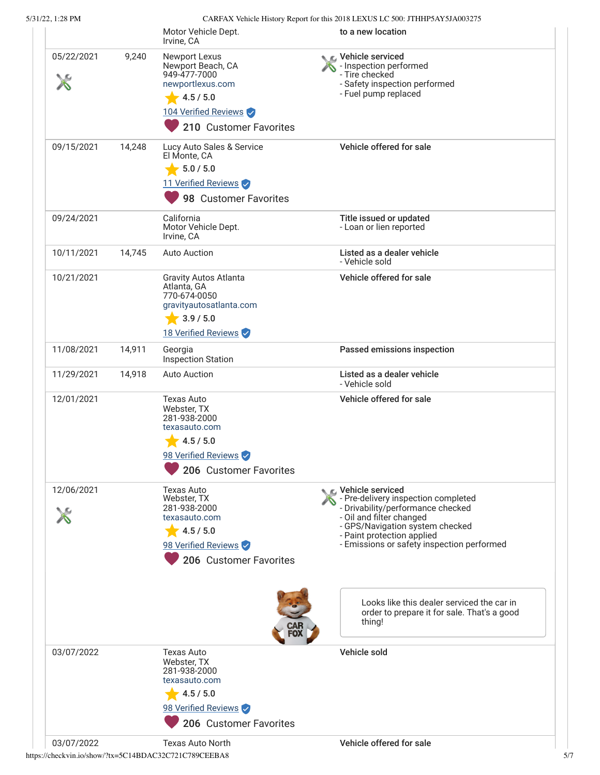5/31/22, 1:28 PM CARFAX Vehicle History Report for this 2018 LEXUS LC 500: JTHHP5AY5JA003275

| 71722.1.2011VI |        |                                                                                                                                                        | CANTAX Venere History Report for this 2016 LEAUS LC 500. THILL SAT STRO05275                                                                                                                                                                                                                                                           |
|----------------|--------|--------------------------------------------------------------------------------------------------------------------------------------------------------|----------------------------------------------------------------------------------------------------------------------------------------------------------------------------------------------------------------------------------------------------------------------------------------------------------------------------------------|
|                |        | Motor Vehicle Dept.<br>Irvine, CA                                                                                                                      | to a new location                                                                                                                                                                                                                                                                                                                      |
| 05/22/2021     | 9,240  | <b>Newport Lexus</b><br>Newport Beach, CA<br>949-477-7000<br>newportlexus.com<br>4.5 / 5.0<br>104 Verified Reviews<br>210 Customer Favorites           | C Vehicle serviced<br>- Inspection performed<br>- Tire checked<br>- Safety inspection performed<br>- Fuel pump replaced                                                                                                                                                                                                                |
| 09/15/2021     | 14,248 | Lucy Auto Sales & Service<br>El Monte, CA<br>5.0 / 5.0<br>11 Verified Reviews<br>98 Customer Favorites                                                 | Vehicle offered for sale                                                                                                                                                                                                                                                                                                               |
| 09/24/2021     |        | California<br>Motor Vehicle Dept.<br>Irvine, CA                                                                                                        | Title issued or updated<br>- Loan or lien reported                                                                                                                                                                                                                                                                                     |
| 10/11/2021     | 14,745 | <b>Auto Auction</b>                                                                                                                                    | Listed as a dealer vehicle<br>- Vehicle sold                                                                                                                                                                                                                                                                                           |
| 10/21/2021     |        | <b>Gravity Autos Atlanta</b><br>Atlanta, GA<br>770-674-0050<br>gravityautosatlanta.com<br>3.9 / 5.0<br>$\overline{\phantom{a}}$<br>18 Verified Reviews | Vehicle offered for sale                                                                                                                                                                                                                                                                                                               |
| 11/08/2021     | 14,911 | Georgia<br><b>Inspection Station</b>                                                                                                                   | Passed emissions inspection                                                                                                                                                                                                                                                                                                            |
| 11/29/2021     | 14,918 | <b>Auto Auction</b>                                                                                                                                    | Listed as a dealer vehicle<br>- Vehicle sold                                                                                                                                                                                                                                                                                           |
| 12/01/2021     |        | <b>Texas Auto</b><br>Webster, TX<br>281-938-2000<br>texasauto.com<br>4.5 / 5.0<br>98 Verified Reviews<br>206 Customer Favorites                        | Vehicle offered for sale                                                                                                                                                                                                                                                                                                               |
| 12/06/2021     |        | Texas Auto<br>Webster, TX<br>281-938-2000<br>texasauto.com<br>4.5 / 5.0<br>98 Verified Reviews<br>206 Customer Favorites                               | C Vehicle serviced<br>- Pre-delivery inspection completed<br>- Drivability/performance checked<br>- Oil and filter changed<br>- GPS/Navigation system checked<br>- Paint protection applied<br>- Emissions or safety inspection performed<br>Looks like this dealer serviced the car in<br>order to prepare it for sale. That's a good |
|                |        |                                                                                                                                                        | thing!                                                                                                                                                                                                                                                                                                                                 |
| 03/07/2022     |        | <b>Texas Auto</b><br>Webster, TX<br>281-938-2000<br>texasauto.com<br>4.5 / 5.0<br>98 Verified Reviews<br>206 Customer Favorites                        | Vehicle sold                                                                                                                                                                                                                                                                                                                           |
| 03/07/2022     |        | <b>Texas Auto North</b>                                                                                                                                | Vehicle offered for sale                                                                                                                                                                                                                                                                                                               |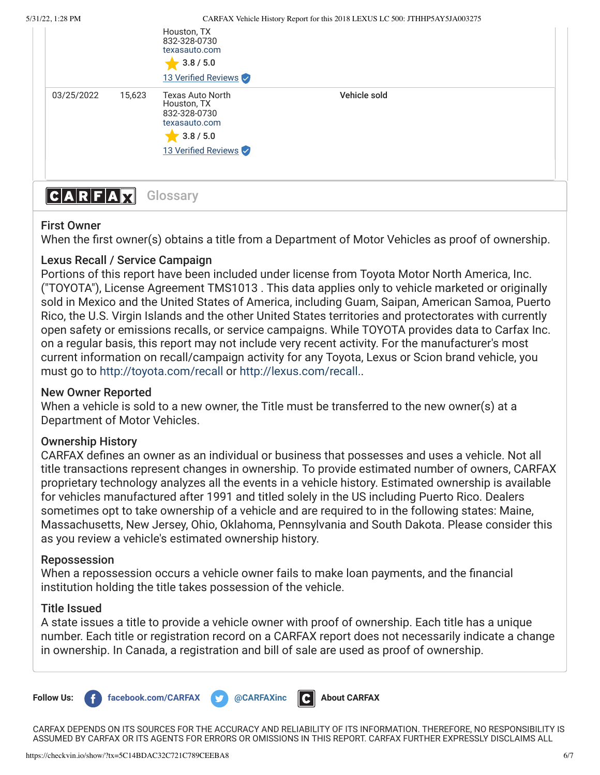|              |        | Houston, TX<br>832-328-0730<br>texasauto.com<br>$\bullet$ 3.8 / 5.0<br>13 Verified Reviews                  |              |  |
|--------------|--------|-------------------------------------------------------------------------------------------------------------|--------------|--|
| 03/25/2022   | 15,623 | <b>Texas Auto North</b><br>Houston, TX<br>832-328-0730<br>texasauto.com<br>3.8 / 5.0<br>13 Verified Reviews | Vehicle sold |  |
| A R F A<br>C |        | Glossary                                                                                                    |              |  |

## <span id="page-5-0"></span>First Owner

When the first owner(s) obtains a title from a Department of Motor Vehicles as proof of ownership.

# Lexus Recall / Service Campaign

Portions of this report have been included under license from Toyota Motor North America, Inc. ("TOYOTA"), License Agreement TMS1013 . This data applies only to vehicle marketed or originally sold in Mexico and the United States of America, including Guam, Saipan, American Samoa, Puerto Rico, the U.S. Virgin Islands and the other United States territories and protectorates with currently open safety or emissions recalls, or service campaigns. While TOYOTA provides data to Carfax Inc. on a regular basis, this report may not include very recent activity. For the manufacturer's most current information on recall/campaign activity for any Toyota, Lexus or Scion brand vehicle, you must go to <http://toyota.com/recall>or [http://lexus.com/recall..](http://lexus.com/recall)

### New Owner Reported

When a vehicle is sold to a new owner, the Title must be transferred to the new owner(s) at a Department of Motor Vehicles.

### Ownership History

CARFAX defines an owner as an individual or business that possesses and uses a vehicle. Not all title transactions represent changes in ownership. To provide estimated number of owners, CARFAX proprietary technology analyzes all the events in a vehicle history. Estimated ownership is available for vehicles manufactured after 1991 and titled solely in the US including Puerto Rico. Dealers sometimes opt to take ownership of a vehicle and are required to in the following states: Maine, Massachusetts, New Jersey, Ohio, Oklahoma, Pennsylvania and South Dakota. Please consider this as you review a vehicle's estimated ownership history.

### Repossession

When a repossession occurs a vehicle owner fails to make loan payments, and the financial institution holding the title takes possession of the vehicle.

### Title Issued

A state issues a title to provide a vehicle owner with proof of ownership. Each title has a unique number. Each title or registration record on a CARFAX report does not necessarily indicate a change in ownership. In Canada, a registration and bill of sale are used as proof of ownership.



CARFAX DEPENDS ON ITS SOURCES FOR THE ACCURACY AND RELIABILITY OF ITS INFORMATION. THEREFORE, NO RESPONSIBILITY IS ASSUMED BY CARFAX OR ITS AGENTS FOR ERRORS OR OMISSIONS IN THIS REPORT. CARFAX FURTHER EXPRESSLY DISCLAIMS ALL